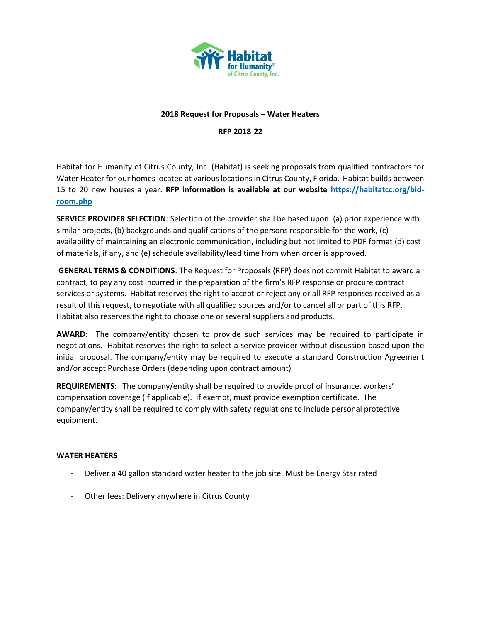

## **2018 Request for Proposals – Water Heaters**

**RFP 2018-22**

Habitat for Humanity of Citrus County, Inc. (Habitat) is seeking proposals from qualified contractors for Water Heater for our homes located at various locations in Citrus County, Florida. Habitat builds between 15 to 20 new houses a year. **RFP information is available at our website [https://habitatcc.org/bid](https://habitatcc.org/bid-room.php)[room.php](https://habitatcc.org/bid-room.php)** 

**SERVICE PROVIDER SELECTION**: Selection of the provider shall be based upon: (a) prior experience with similar projects, (b) backgrounds and qualifications of the persons responsible for the work, (c) availability of maintaining an electronic communication, including but not limited to PDF format (d) cost of materials, if any, and (e) schedule availability/lead time from when order is approved.

**GENERAL TERMS & CONDITIONS**: The Request for Proposals (RFP) does not commit Habitat to award a contract, to pay any cost incurred in the preparation of the firm's RFP response or procure contract services or systems. Habitat reserves the right to accept or reject any or all RFP responses received as a result of this request, to negotiate with all qualified sources and/or to cancel all or part of this RFP. Habitat also reserves the right to choose one or several suppliers and products.

**AWARD**: The company/entity chosen to provide such services may be required to participate in negotiations. Habitat reserves the right to select a service provider without discussion based upon the initial proposal. The company/entity may be required to execute a standard Construction Agreement and/or accept Purchase Orders (depending upon contract amount)

**REQUIREMENTS**: The company/entity shall be required to provide proof of insurance, workers' compensation coverage (if applicable). If exempt, must provide exemption certificate. The company/entity shall be required to comply with safety regulations to include personal protective equipment.

## **WATER HEATERS**

- Deliver a 40 gallon standard water heater to the job site. Must be Energy Star rated
- Other fees: Delivery anywhere in Citrus County